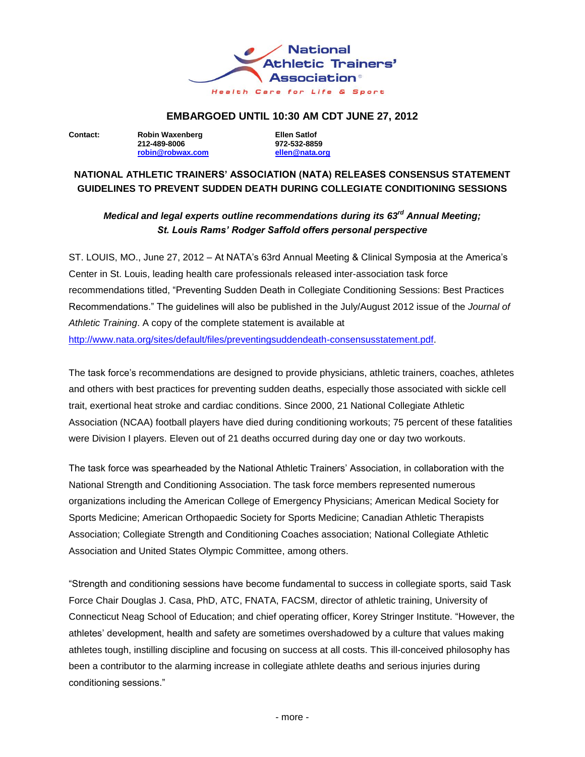

## **EMBARGOED UNTIL 10:30 AM CDT JUNE 27, 2012**

**Contact: Robin Waxenberg Ellen Satlof [robin@robwax.com](mailto:robin@robwax.com) [ellen@nata.org](mailto:ellen@nata.org)**

**212-489-8006 972-532-8859**

# **NATIONAL ATHLETIC TRAINERS' ASSOCIATION (NATA) RELEASES CONSENSUS STATEMENT GUIDELINES TO PREVENT SUDDEN DEATH DURING COLLEGIATE CONDITIONING SESSIONS**

# *Medical and legal experts outline recommendations during its 63rd Annual Meeting; St. Louis Rams' Rodger Saffold offers personal perspective*

ST. LOUIS, MO., June 27, 2012 – At NATA's 63rd Annual Meeting & Clinical Symposia at the America's Center in St. Louis, leading health care professionals released inter-association task force recommendations titled, "Preventing Sudden Death in Collegiate Conditioning Sessions: Best Practices Recommendations." The guidelines will also be published in the July/August 2012 issue of the *Journal of Athletic Training*. A copy of the complete statement is available at [http://www.nata.org/sites/default/files/preventingsuddendeath-consensusstatement.pdf.](http://www.nata.org/sites/default/files/preventingsuddendeath-consensusstatement.pdf)

The task force's recommendations are designed to provide physicians, athletic trainers, coaches, athletes and others with best practices for preventing sudden deaths, especially those associated with sickle cell trait, exertional heat stroke and cardiac conditions. Since 2000, 21 National Collegiate Athletic Association (NCAA) football players have died during conditioning workouts; 75 percent of these fatalities were Division I players. Eleven out of 21 deaths occurred during day one or day two workouts.

The task force was spearheaded by the National Athletic Trainers' Association, in collaboration with the National Strength and Conditioning Association. The task force members represented numerous organizations including the American College of Emergency Physicians; American Medical Society for Sports Medicine; American Orthopaedic Society for Sports Medicine; Canadian Athletic Therapists Association; Collegiate Strength and Conditioning Coaches association; National Collegiate Athletic Association and United States Olympic Committee, among others.

"Strength and conditioning sessions have become fundamental to success in collegiate sports, said Task Force Chair Douglas J. Casa, PhD, ATC, FNATA, FACSM, director of athletic training, University of Connecticut Neag School of Education; and chief operating officer, Korey Stringer Institute. "However, the athletes' development, health and safety are sometimes overshadowed by a culture that values making athletes tough, instilling discipline and focusing on success at all costs. This ill-conceived philosophy has been a contributor to the alarming increase in collegiate athlete deaths and serious injuries during conditioning sessions."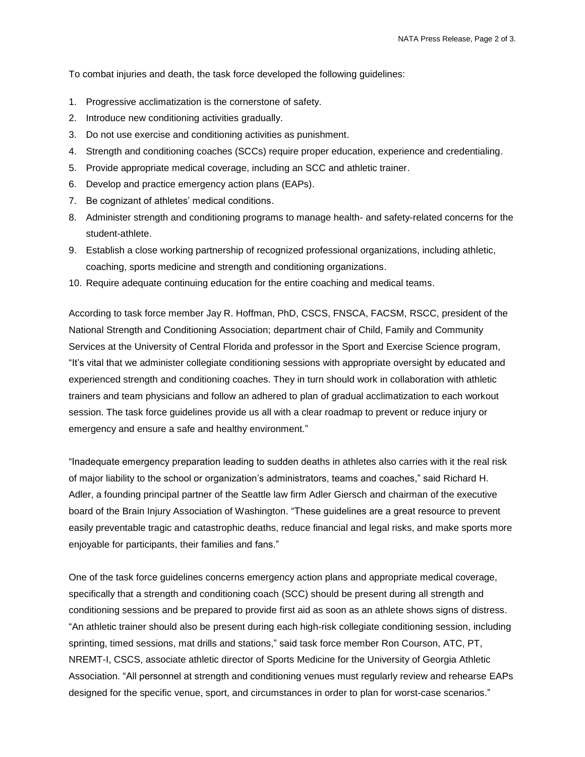To combat injuries and death, the task force developed the following guidelines:

- 1. Progressive acclimatization is the cornerstone of safety.
- 2. Introduce new conditioning activities gradually.
- 3. Do not use exercise and conditioning activities as punishment.
- 4. Strength and conditioning coaches (SCCs) require proper education, experience and credentialing.
- 5. Provide appropriate medical coverage, including an SCC and athletic trainer.
- 6. Develop and practice emergency action plans (EAPs).
- 7. Be cognizant of athletes' medical conditions.
- 8. Administer strength and conditioning programs to manage health- and safety-related concerns for the student-athlete.
- 9. Establish a close working partnership of recognized professional organizations, including athletic, coaching, sports medicine and strength and conditioning organizations.
- 10. Require adequate continuing education for the entire coaching and medical teams.

According to task force member Jay R. Hoffman, PhD, CSCS, FNSCA, FACSM, RSCC, president of the National Strength and Conditioning Association; department chair of Child, Family and Community Services at the University of Central Florida and professor in the Sport and Exercise Science program, "It's vital that we administer collegiate conditioning sessions with appropriate oversight by educated and experienced strength and conditioning coaches. They in turn should work in collaboration with athletic trainers and team physicians and follow an adhered to plan of gradual acclimatization to each workout session. The task force guidelines provide us all with a clear roadmap to prevent or reduce injury or emergency and ensure a safe and healthy environment."

"Inadequate emergency preparation leading to sudden deaths in athletes also carries with it the real risk of major liability to the school or organization's administrators, teams and coaches," said Richard H. Adler, a founding principal partner of the Seattle law firm Adler Giersch and chairman of the executive board of the Brain Injury Association of Washington. "These guidelines are a great resource to prevent easily preventable tragic and catastrophic deaths, reduce financial and legal risks, and make sports more enjoyable for participants, their families and fans."

One of the task force guidelines concerns emergency action plans and appropriate medical coverage, specifically that a strength and conditioning coach (SCC) should be present during all strength and conditioning sessions and be prepared to provide first aid as soon as an athlete shows signs of distress. "An athletic trainer should also be present during each high-risk collegiate conditioning session, including sprinting, timed sessions, mat drills and stations," said task force member Ron Courson, ATC, PT, NREMT-I, CSCS, associate athletic director of Sports Medicine for the University of Georgia Athletic Association. "All personnel at strength and conditioning venues must regularly review and rehearse EAPs designed for the specific venue, sport, and circumstances in order to plan for worst-case scenarios."